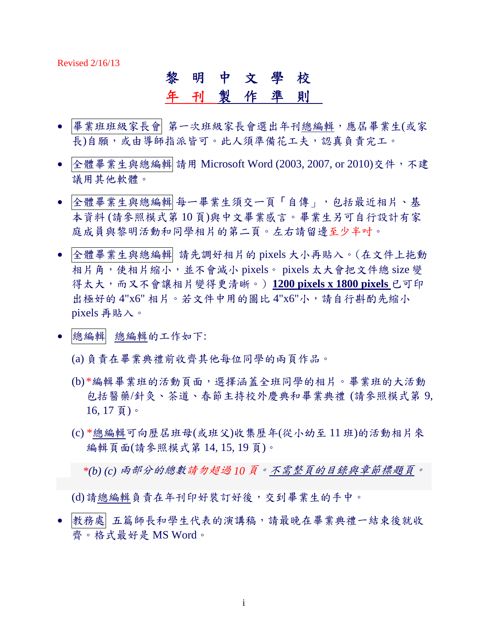Revised 2/16/13

#### 黎明中文學校

#### 年 刊 製作準則

- 畢業班班級家長會人班級家長會選出年刊總編輯,應屆畢業生(或家 長)自願,或由導師指派皆可。此人須準備花工夫,認真負責完工。
- 全體畢業生與總編輯 請用 Microsoft Word (2003, 2007, or 2010)交件,不建 議用其他軟體。
- 全體畢業生與總編輯 每一畢業生須交一頁「自傳」,包括最近相片、基 本資料 (請參照模式第 10 頁)與中文畢業感言。畢業生另可自行設計有家 庭成員與黎明活動和同學相片的第二頁。左右請留邊至少半吋。
- 全體畢業生與總編輯 請先調好相片的 pixels 大小再貼入。(在文件上拖動 相片角,使相片縮小,並不會減小 pixels。 pixels 太大會把文件總 size 變 得太大,而又不會讓相片變得更清晰。) **1200 pixels x 1800 pixels** 已可印 出極好的 4"x6" 相片。若文件中用的圖比 4"x6"小,請自行斟酌先縮小 pixels 再貼入。
- 總編輯 總編輯的工作如下:
	- (a) 負責在畢業典禮前收齊其他每位同學的兩頁作品。
	- (b) \*編輯畢業班的活動頁面,選擇涵蓋全班同學的相片。畢業班的大活動 包括醫藥/針灸、茶道、春節主持校外慶典和畢業典禮 (請參照模式第 9, 16, 17 頁)。
	- (c) \*總編輯可向歷屆班母(或班父)收集歷年(從小幼至 11 班)的活動相片來 編輯頁面(請參照模式第 14, 15, 19 頁)。

 *\*(b) (c)* 兩部分的總數請勿超過 *10* 頁。不需整頁的目錄與章節標題頁。

(d) 請總編輯負責在年刊印好裝訂好後,交到畢業生的手中。

● 教務處 五篇師長和學生代表的演講稿,請最晚在畢業典禮一結束後就收 齊。格式最好是 MS Word。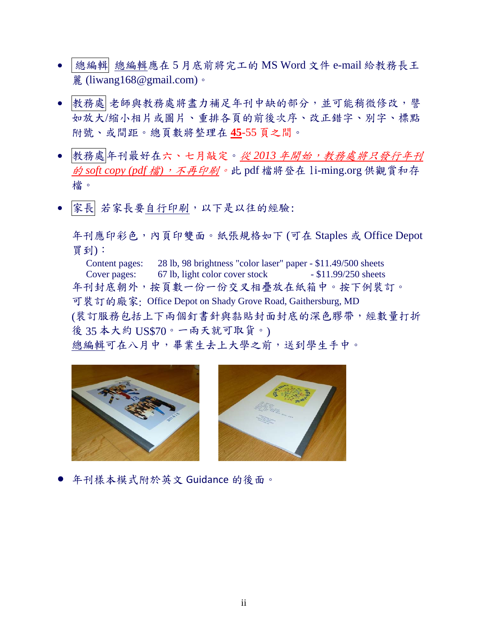- 總編輯 總編輯應在 5 月底前將完工的 MS Word 文件 e-mail 給教務長王 麗 (liwang168@gmail.com)。
- 教務處 老師與教務處將盡力補足年刊中缺的部分,並可能稍微修改,譬 如放大/縮小相片或圖片、重排各頁的前後次序、改正錯字、別字、標點 附號、或間距。總頁數將整理在 **45**-55 頁之間。
- 教務處年刊最好在六、七月敲定。從 2013 年開始,教務處將只發行年刊 的 *soft copy (pdf* 檔*)*,不再印刷。此 pdf 檔將登在 li-ming.org 供觀賞和存 檔。
- 家長 若家長要自行印刷,以下是以往的經驗:

年刊應印彩色,內頁印雙面。紙張規格如下 (可在 Staples 或 Office Depot 買到):

Content pages: 28 lb, 98 brightness "color laser" paper - \$11.49/500 sheets Cover pages: 67 lb, light color cover stock - \$11.99/250 sheets 年刊封底朝外,按頁數一份一份交叉相疊放在紙箱中。按下例裝訂。 可裝訂的廠家: Office Depot on Shady Grove Road, Gaithersburg, MD (裝訂服務包括上下兩個釘書針與黏貼封面封底的深色膠帶,經數量打折 後 35 本大約 US\$70。一兩天就可取貨。) 總編輯可在八月中,畢業生去上大學之前,送到學生手中。





年刊樣本模式附於英文 Guidance 的後面。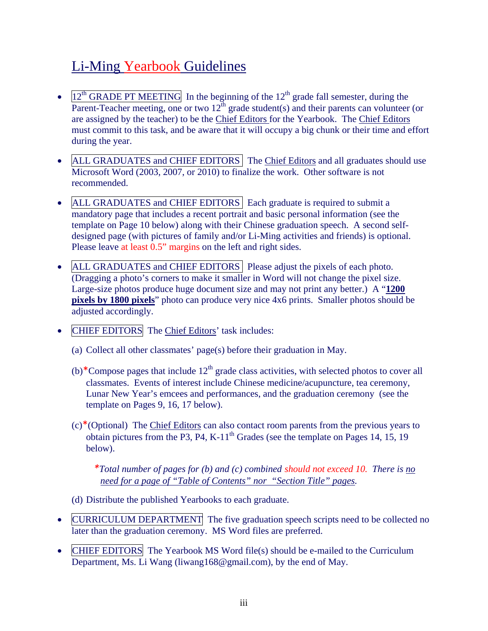#### Li-Ming Yearbook Guidelines

- $12<sup>th</sup> GRADE PT MEETING$  In the beginning of the  $12<sup>th</sup>$  grade fall semester, during the Parent-Teacher meeting, one or two  $12^{th}$  grade student(s) and their parents can volunteer (or are assigned by the teacher) to be the Chief Editors for the Yearbook. The Chief Editors must commit to this task, and be aware that it will occupy a big chunk or their time and effort during the year.
- ALL GRADUATES and CHIEF EDITORS The Chief Editors and all graduates should use Microsoft Word (2003, 2007, or 2010) to finalize the work. Other software is not recommended.
- ALL GRADUATES and CHIEF EDITORS Each graduate is required to submit a mandatory page that includes a recent portrait and basic personal information (see the template on Page 10 below) along with their Chinese graduation speech. A second selfdesigned page (with pictures of family and/or Li-Ming activities and friends) is optional. Please leave at least 0.5" margins on the left and right sides.
- ALL GRADUATES and CHIEF EDITORS Please adjust the pixels of each photo. (Dragging a photo's corners to make it smaller in Word will not change the pixel size. Large-size photos produce huge document size and may not print any better.) A "**1200 pixels by 1800 pixels**" photo can produce very nice 4x6 prints. Smaller photos should be adjusted accordingly.
- CHIEF EDITORS The Chief Editors' task includes:
	- (a) Collect all other classmates' page(s) before their graduation in May.
	- (b)<sup>\*</sup>Compose pages that include  $12<sup>th</sup>$  grade class activities, with selected photos to cover all classmates. Events of interest include Chinese medicine/acupuncture, tea ceremony, Lunar New Year's emcees and performances, and the graduation ceremony (see the template on Pages 9, 16, 17 below).
	- $(c)$ <sup>\*</sup>(Optional) The Chief Editors can also contact room parents from the previous years to obtain pictures from the P3, P4, K-11<sup>th</sup> Grades (see the template on Pages 14, 15, 19 below).

 *\*Total number of pages for (b) and (c) combined should not exceed 10. There is no need for a page of "Table of Contents" nor "Section Title" pages.* 

- (d) Distribute the published Yearbooks to each graduate.
- CURRICULUM DEPARTMENT The five graduation speech scripts need to be collected no later than the graduation ceremony. MS Word files are preferred.
- CHIEF EDITORS The Yearbook MS Word file(s) should be e-mailed to the Curriculum Department, Ms. Li Wang (liwang168@gmail.com), by the end of May.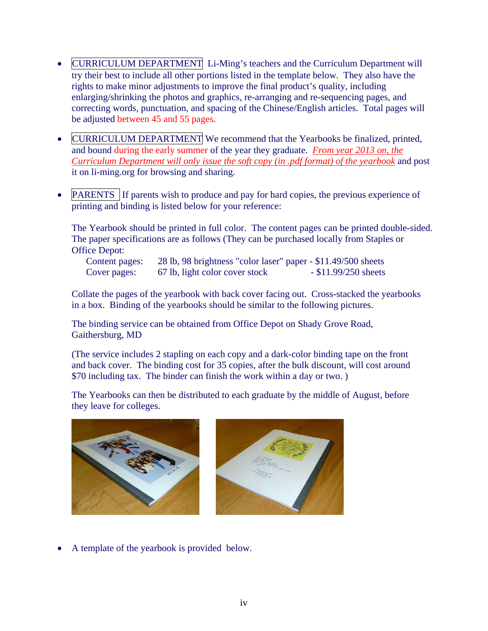- CURRICULUM DEPARTMENT Li-Ming's teachers and the Curriculum Department will try their best to include all other portions listed in the template below. They also have the rights to make minor adjustments to improve the final product's quality, including enlarging/shrinking the photos and graphics, re-arranging and re-sequencing pages, and correcting words, punctuation, and spacing of the Chinese/English articles. Total pages will be adjusted between 45 and 55 pages.
- CURRICULUM DEPARTMENT We recommend that the Yearbooks be finalized, printed, and bound during the early summer of the year they graduate. *From year 2013 on, the Curriculum Department will only issue the soft copy (in .pdf format) of the yearbook* and post it on li-ming.org for browsing and sharing.
- **PARENTS** If parents wish to produce and pay for hard copies, the previous experience of printing and binding is listed below for your reference:

The Yearbook should be printed in full color. The content pages can be printed double-sided. The paper specifications are as follows (They can be purchased locally from Staples or Office Depot:

Content pages: 28 lb, 98 brightness "color laser" paper - \$11.49/500 sheets Cover pages: 67 lb, light color cover stock - \$11.99/250 sheets

Collate the pages of the yearbook with back cover facing out. Cross-stacked the yearbooks in a box. Binding of the yearbooks should be similar to the following pictures.

The binding service can be obtained from Office Depot on Shady Grove Road, Gaithersburg, MD

(The service includes 2 stapling on each copy and a dark-color binding tape on the front and back cover. The binding cost for 35 copies, after the bulk discount, will cost around \$70 including tax. The binder can finish the work within a day or two. )

The Yearbooks can then be distributed to each graduate by the middle of August, before they leave for colleges.



A template of the yearbook is provided below.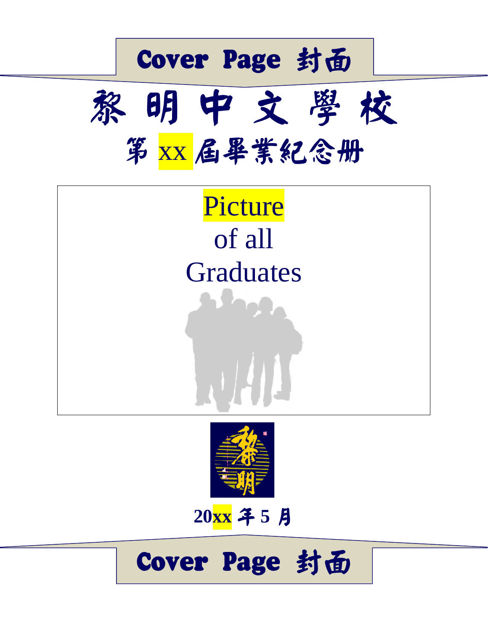





**20xx** в **5** ̓

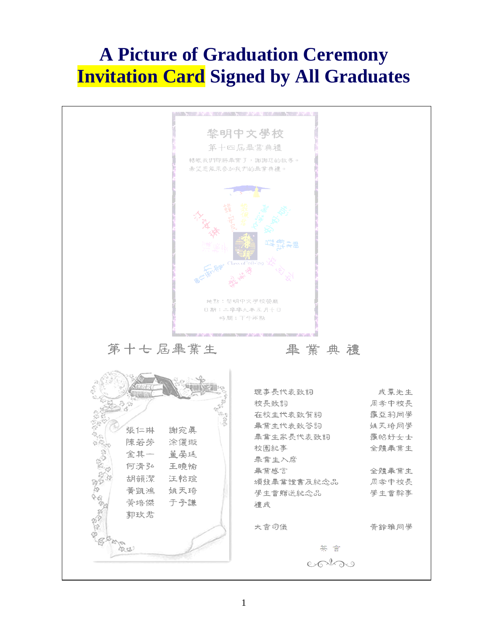#### **A Picture of Graduation Ceremony Invitation Card Signed by All Graduates**

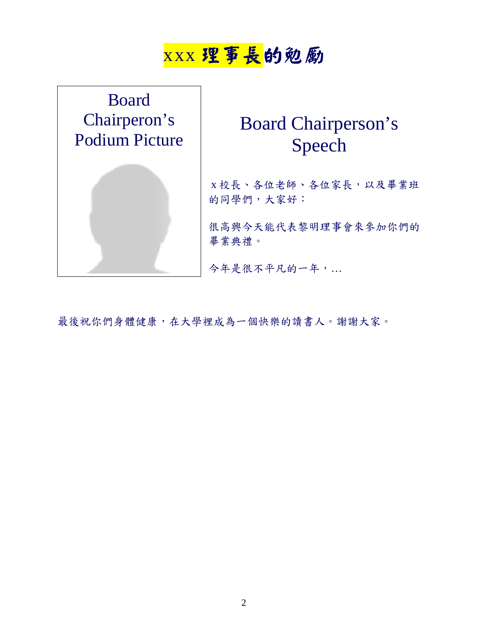#### xxx 理事長的勉勵



#### Board Chairperson's Speech

 x 校長、各位老師、各位家長,以及畢業班 的同學們,大家好:

很高興今天能代表黎明理事會來參加你們的 畢業典禮。

今年是很不平凡的一年,…

最後祝你們身體健康,在大學裡成為一個快樂的讀書人。謝謝大家。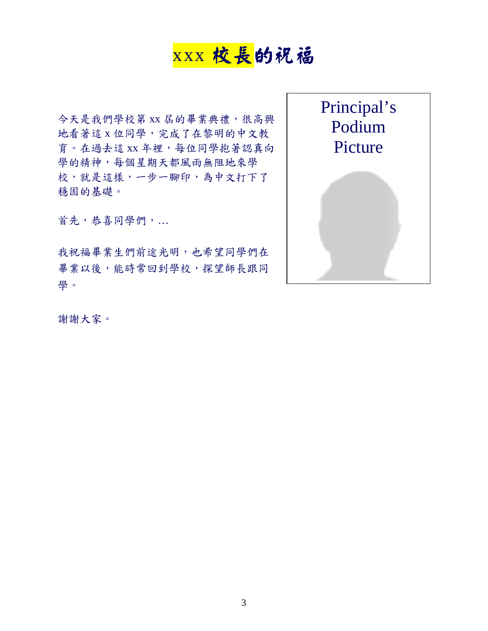#### xxx 校長的祝福

今天是我們學校第 xx 屆的畢業典禮,很高興 地看著這 x 位同學,完成了在黎明的中文教 育。在過去這 xx 年裡,每位同學抱著認真向 學的精神,每個星期天都風雨無阻地來學 校,就是這樣,一步一腳印,為中文打下了 穩固的基礎。

首先,恭喜同學們,…

我祝福畢業生們前途光明,也希望同學們在 畢業以後,能時常回到學校,探望師長跟同 學。



謝謝大家。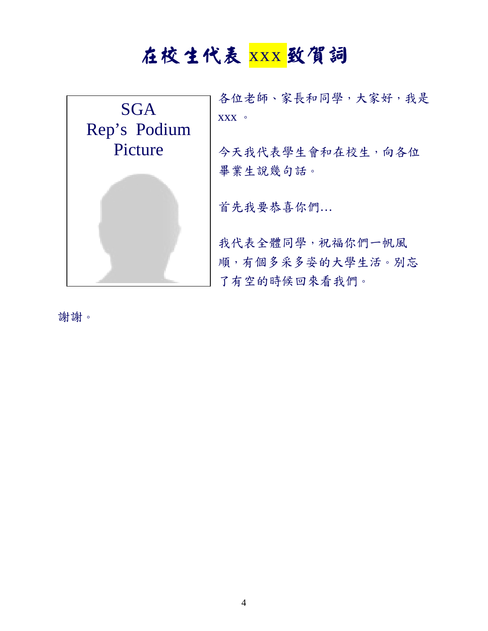## 在校生代表 xxx 致賀詞



謝謝。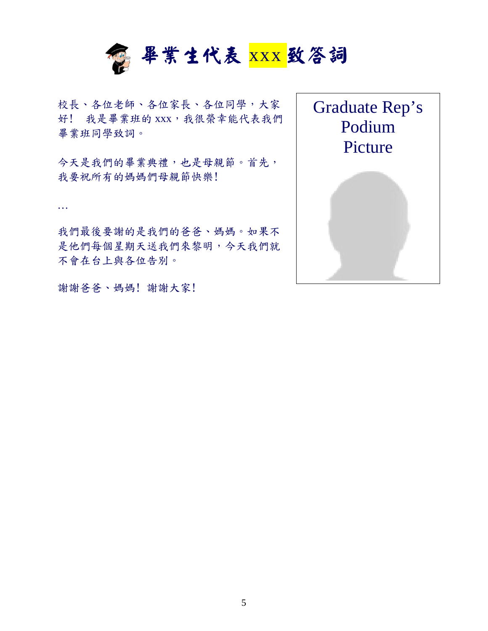

校長、各位老師、各位家長、各位同學,大家 好! 我是畢業班的 xxx, 我很榮幸能代表我們 畢業班同學致詞。

今天是我們的畢業典禮,也是母親節。首先, 我要祝所有的媽媽們母親節快樂!

…

我們最後要謝的是我們的爸爸、媽媽。如果不 是他們每個星期天送我們來黎明,今天我們就 不會在台上與各位告別。

謝謝爸爸、媽媽! 謝謝大家!

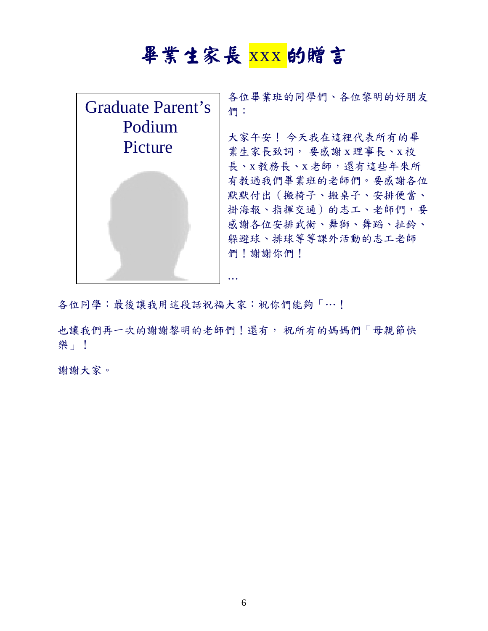### 畢業生家長 xxx 的贈言

| Graduate Parent's | 各位畢業班的同學們、各位黎明的好朋友<br>們:                                                                                                                   |
|-------------------|--------------------------------------------------------------------------------------------------------------------------------------------|
| Podium            | 大家午安! 今天我在這裡代表所有的畢                                                                                                                         |
| Picture           | 業生家長致詞, 要感謝 x 理事長、x 校                                                                                                                      |
|                   | 長、x教務長、x老師,還有這些年來所<br>有教過我們畢業班的老師們。要感謝各位<br>默默付出(搬椅子、搬桌子、安排便當、<br>掛海報、指揮交通)的志工、老師們,要<br>感謝各位安排武術、舞獅、舞蹈、扯鈴、<br>躲避球、排球等等課外活動的志工老師<br>們!謝謝你們! |

各位同學:最後讓我用這段話祝福大家:祝你們能夠「…!

也讓我們再一次的謝謝黎明的老師們!還有, 祝所有的媽媽們「母親節快 樂」!

謝謝大家。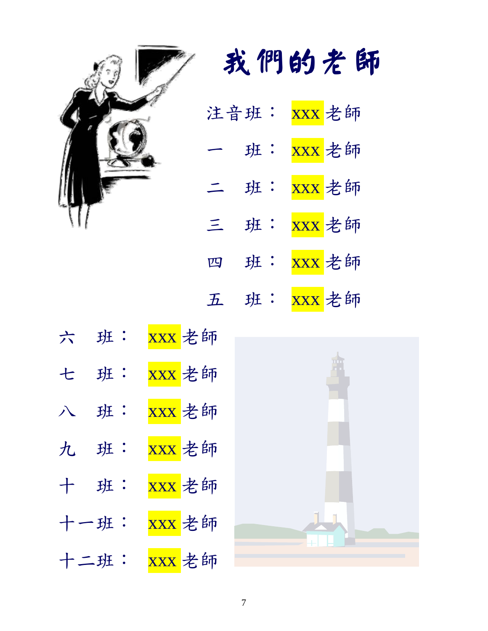

# 我們的老師

|          | 注音班: | xxx 老師              |
|----------|------|---------------------|
|          | 班:   | <mark>XXX</mark> 老師 |
| $\equiv$ | 班:   | xxx 老師              |
| $\equiv$ | 班:   | xxx 老師              |
| 四        | 班:   | xxx 老師              |
| H        | 班:   | xxx 老師              |

|   | 六 班: | xxx 老師 |  |
|---|------|--------|--|
|   | 七 班: | xxx 老師 |  |
|   | 八 班: | xxx 老師 |  |
| 九 | 班:   | xxx 老師 |  |
|   | 十班:  | xxx 老師 |  |
|   | 十一班: | xxx 老師 |  |
|   | 二班:  | xxx 老師 |  |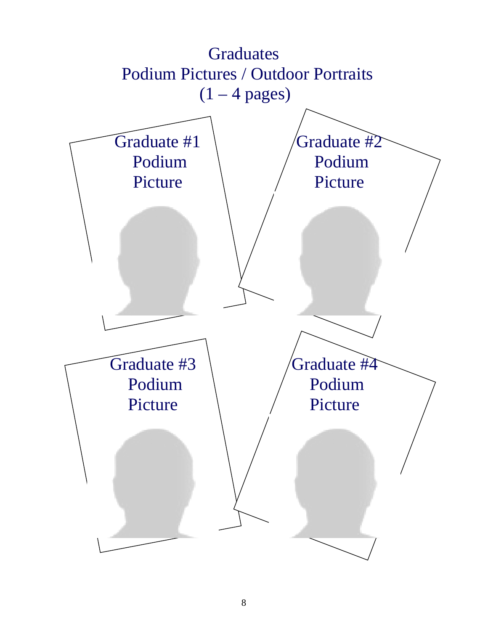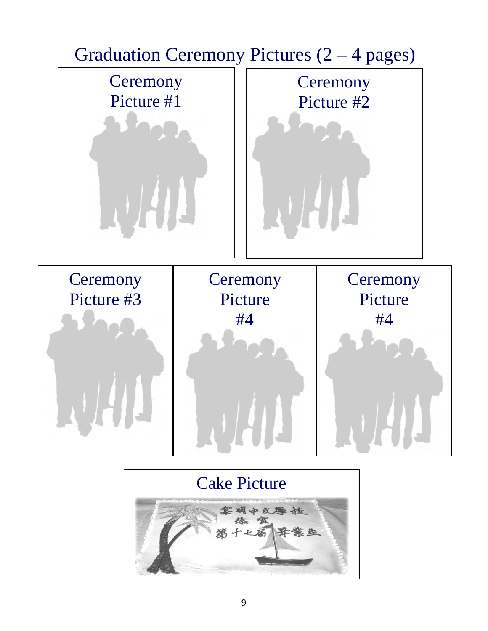

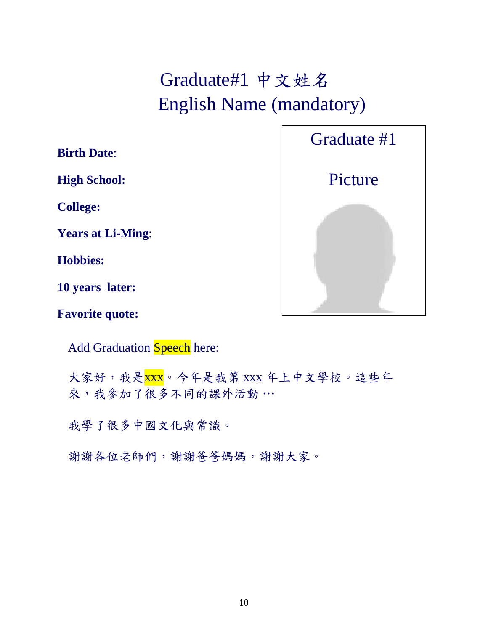## Graduate#1 中文姓名 English Name (mandatory)

**Birth Date**:

**High School:**

**College:**

**Years at Li-Ming**:

**Hobbies:**

**10 years later:**

**Favorite quote:** 

Add Graduation Speech here:

大家好,我是xxx。今年是我第 xxx 年上中文學校。這些年 來,我參加了很多不同的課外活動…

我學了很多中國文化與常識。

謝謝各位老師們,謝謝爸爸媽媽,謝謝大家。

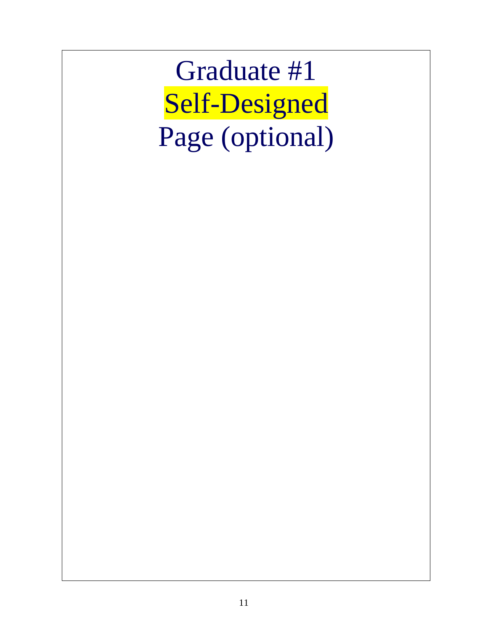Graduate #1 Self-Designed Page (optional)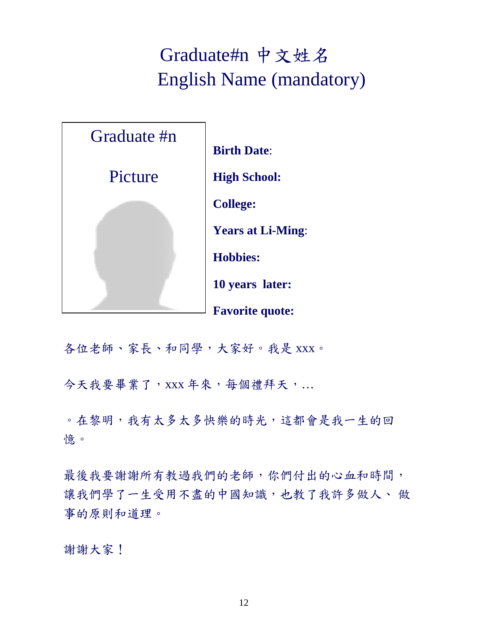#### Graduate#n 中文姓名 English Name (mandatory)



**Birth Date**: **High School: College: Years at Li-Ming**: **Hobbies: 10 years later: Favorite quote:** 

各位老師、家長、和同學,大家好。我是 xxx。

今天我要畢業了, xxx 年來, 每個禮拜天, ...

。在黎明,我有太多太多快樂的時光,這都會是我一生的回 憶。

最後我要謝謝所有教過我們的老師,你們付出的心血和時間, 讓我們學了一生受用不盡的中國知識,也教了我許多做人、 做 事的原則和道理。

謝謝大家!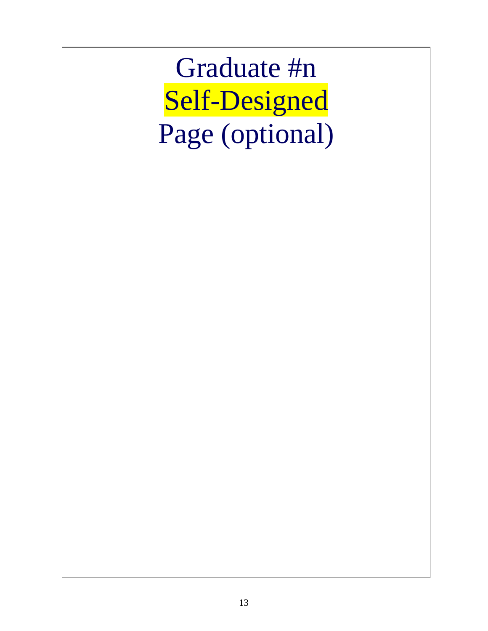Graduate #n Self-Designed Page (optional)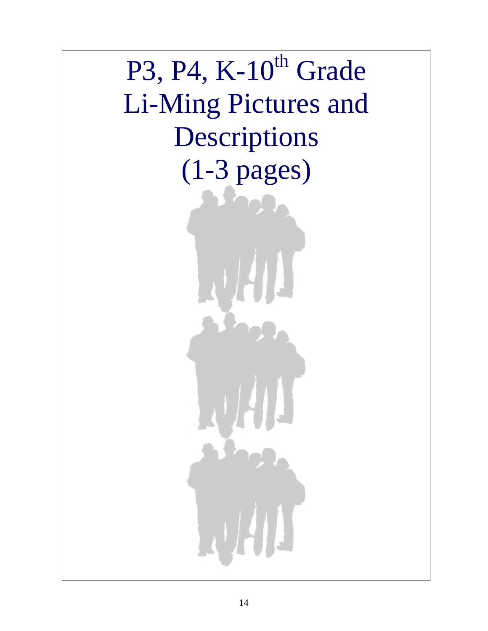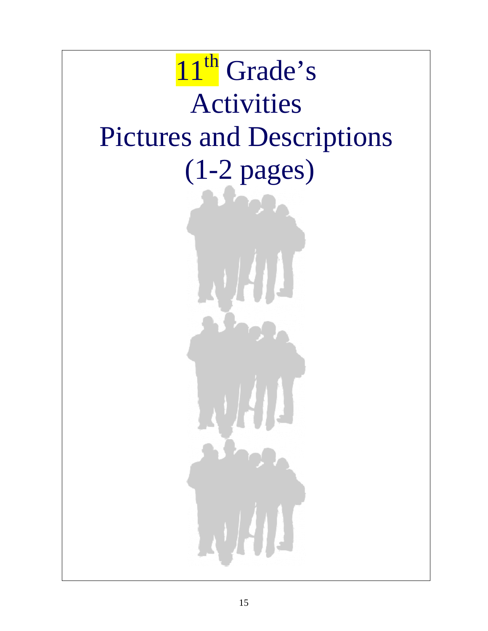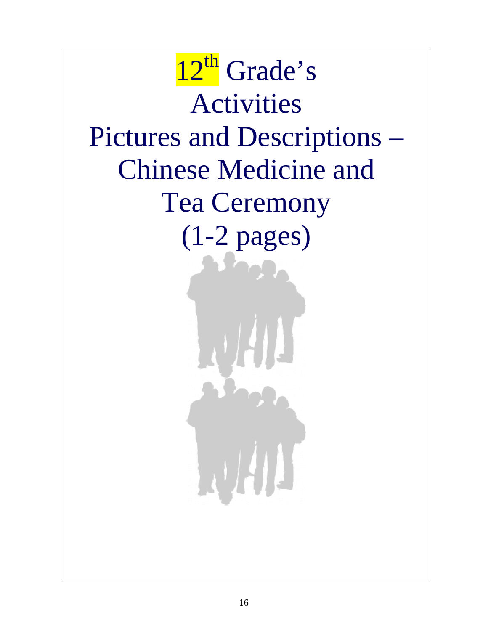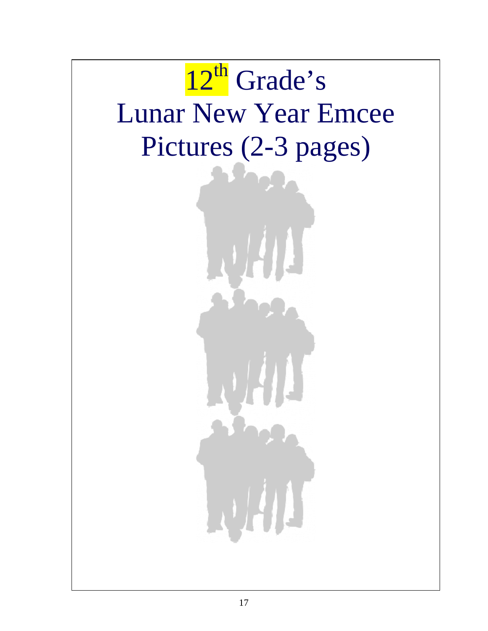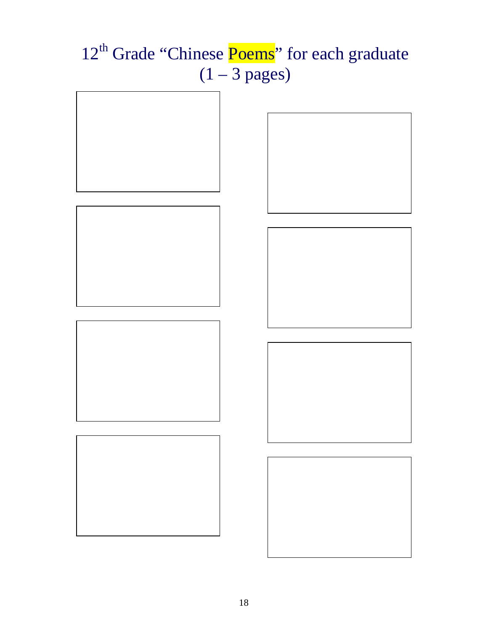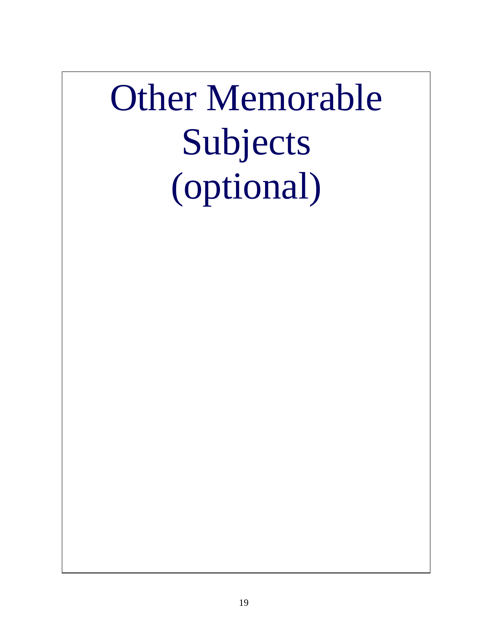# Other Memorable Subjects (optional)